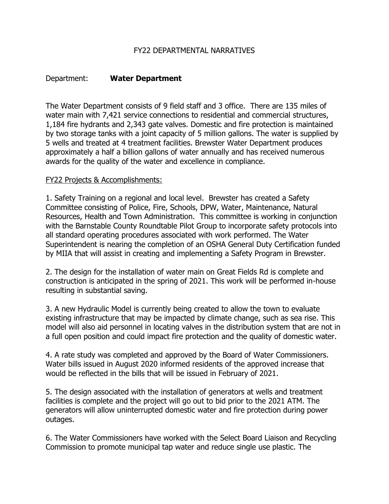# FY22 DEPARTMENTAL NARRATIVES

# Department: **Water Department**

The Water Department consists of 9 field staff and 3 office. There are 135 miles of water main with 7,421 service connections to residential and commercial structures, 1,184 fire hydrants and 2,343 gate valves. Domestic and fire protection is maintained by two storage tanks with a joint capacity of 5 million gallons. The water is supplied by 5 wells and treated at 4 treatment facilities. Brewster Water Department produces approximately a half a billion gallons of water annually and has received numerous awards for the quality of the water and excellence in compliance.

### FY22 Projects & Accomplishments:

1. Safety Training on a regional and local level. Brewster has created a Safety Committee consisting of Police, Fire, Schools, DPW, Water, Maintenance, Natural Resources, Health and Town Administration. This committee is working in conjunction with the Barnstable County Roundtable Pilot Group to incorporate safety protocols into all standard operating procedures associated with work performed. The Water Superintendent is nearing the completion of an OSHA General Duty Certification funded by MIIA that will assist in creating and implementing a Safety Program in Brewster.

2. The design for the installation of water main on Great Fields Rd is complete and construction is anticipated in the spring of 2021. This work will be performed in-house resulting in substantial saving.

3. A new Hydraulic Model is currently being created to allow the town to evaluate existing infrastructure that may be impacted by climate change, such as sea rise. This model will also aid personnel in locating valves in the distribution system that are not in a full open position and could impact fire protection and the quality of domestic water.

4. A rate study was completed and approved by the Board of Water Commissioners. Water bills issued in August 2020 informed residents of the approved increase that would be reflected in the bills that will be issued in February of 2021.

5. The design associated with the installation of generators at wells and treatment facilities is complete and the project will go out to bid prior to the 2021 ATM. The generators will allow uninterrupted domestic water and fire protection during power outages.

6. The Water Commissioners have worked with the Select Board Liaison and Recycling Commission to promote municipal tap water and reduce single use plastic. The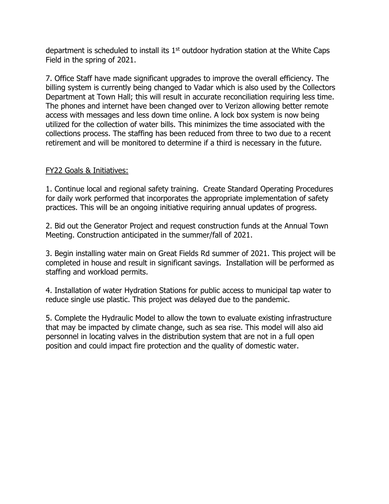department is scheduled to install its  $1<sup>st</sup>$  outdoor hydration station at the White Caps Field in the spring of 2021.

7. Office Staff have made significant upgrades to improve the overall efficiency. The billing system is currently being changed to Vadar which is also used by the Collectors Department at Town Hall; this will result in accurate reconciliation requiring less time. The phones and internet have been changed over to Verizon allowing better remote access with messages and less down time online. A lock box system is now being utilized for the collection of water bills. This minimizes the time associated with the collections process. The staffing has been reduced from three to two due to a recent retirement and will be monitored to determine if a third is necessary in the future.

# FY22 Goals & Initiatives:

1. Continue local and regional safety training. Create Standard Operating Procedures for daily work performed that incorporates the appropriate implementation of safety practices. This will be an ongoing initiative requiring annual updates of progress.

2. Bid out the Generator Project and request construction funds at the Annual Town Meeting. Construction anticipated in the summer/fall of 2021.

3. Begin installing water main on Great Fields Rd summer of 2021. This project will be completed in house and result in significant savings. Installation will be performed as staffing and workload permits.

4. Installation of water Hydration Stations for public access to municipal tap water to reduce single use plastic. This project was delayed due to the pandemic.

5. Complete the Hydraulic Model to allow the town to evaluate existing infrastructure that may be impacted by climate change, such as sea rise. This model will also aid personnel in locating valves in the distribution system that are not in a full open position and could impact fire protection and the quality of domestic water.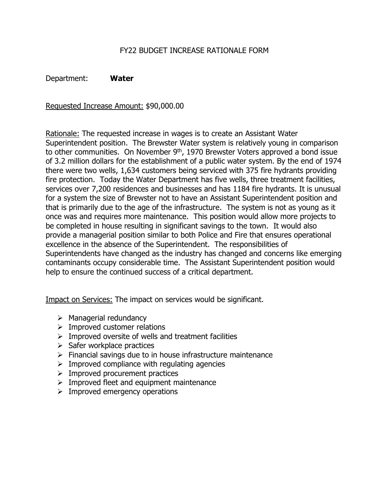## FY22 BUDGET INCREASE RATIONALE FORM

Department: **Water**

Requested Increase Amount: \$90,000.00

Rationale: The requested increase in wages is to create an Assistant Water Superintendent position. The Brewster Water system is relatively young in comparison to other communities. On November  $9<sup>th</sup>$ , 1970 Brewster Voters approved a bond issue of 3.2 million dollars for the establishment of a public water system. By the end of 1974 there were two wells, 1,634 customers being serviced with 375 fire hydrants providing fire protection. Today the Water Department has five wells, three treatment facilities, services over 7,200 residences and businesses and has 1184 fire hydrants. It is unusual for a system the size of Brewster not to have an Assistant Superintendent position and that is primarily due to the age of the infrastructure. The system is not as young as it once was and requires more maintenance. This position would allow more projects to be completed in house resulting in significant savings to the town. It would also provide a managerial position similar to both Police and Fire that ensures operational excellence in the absence of the Superintendent. The responsibilities of Superintendents have changed as the industry has changed and concerns like emerging contaminants occupy considerable time. The Assistant Superintendent position would help to ensure the continued success of a critical department.

Impact on Services: The impact on services would be significant.

- $\triangleright$  Managerial redundancy
- $\triangleright$  Improved customer relations
- $\triangleright$  Improved oversite of wells and treatment facilities
- $\triangleright$  Safer workplace practices
- $\triangleright$  Financial savings due to in house infrastructure maintenance
- $\triangleright$  Improved compliance with regulating agencies
- $\triangleright$  Improved procurement practices
- $\triangleright$  Improved fleet and equipment maintenance
- $\triangleright$  Improved emergency operations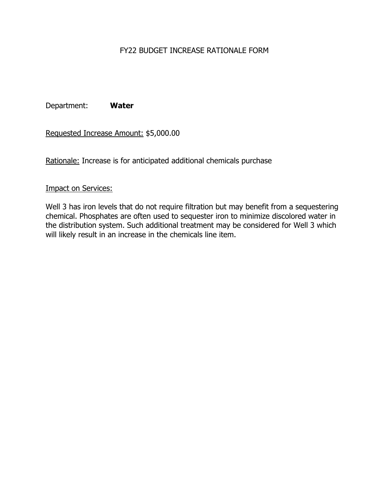# FY22 BUDGET INCREASE RATIONALE FORM

Department: **Water**

Requested Increase Amount: \$5,000.00

Rationale: Increase is for anticipated additional chemicals purchase

## Impact on Services:

Well 3 has iron levels that do not require filtration but may benefit from a sequestering chemical. Phosphates are often used to sequester iron to minimize discolored water in the distribution system. Such additional treatment may be considered for Well 3 which will likely result in an increase in the chemicals line item.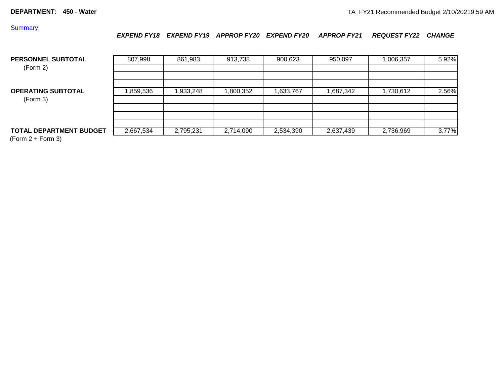**Summary** 

*EXPEND FY18 EXPEND FY19 APPROP FY20 EXPEND FY20 APPROP FY21 REQUEST FY22 CHANGE*

| <b>PERSONNEL SUBTOTAL</b><br>(Form 2) | 807,998   | 861,983   | 913,738   | 900,623   | 950,097   | 1,006,357 | 5.92% |
|---------------------------------------|-----------|-----------|-----------|-----------|-----------|-----------|-------|
| <b>OPERATING SUBTOTAL</b><br>(Form 3) | ,859,536  | ,933,248  | ,800,352  | 1,633,767 | 1,687,342 | 1,730,612 | 2.56% |
| <b>TOTAL DEPARTMENT BUDGET</b>        | 2,667,534 | 2,795,231 | 2,714,090 | 2,534,390 | 2,637,439 | 2,736,969 | 3.77% |

 $(Form 2 + Form 3)$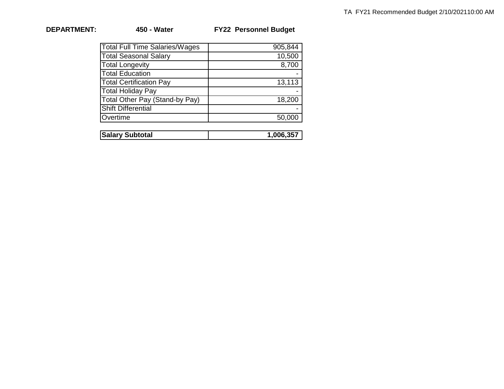| <b>FY22 Personnel Budget</b> |
|------------------------------|
|                              |

| 905,844 |
|---------|
| 10,500  |
| 8,700   |
|         |
| 13,113  |
|         |
| 18,200  |
|         |
| 50,000  |
|         |

| <b>Salary Subtotal</b> | .006.35 |
|------------------------|---------|
|                        |         |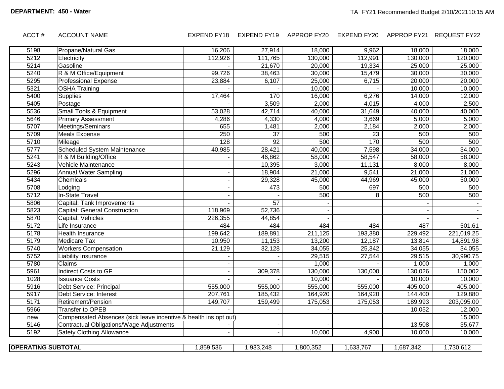#### ACCT # ACCOUNT NAME EXPEND FY18 EXPEND FY19 APPROP FY20 EXPEND FY20 APPROP FY21 REQUEST FY22

| 5198                      | Propane/Natural Gas                                              | 16,206    | 27,914          | 18,000    | 9,962           | 18,000    | 18,000     |
|---------------------------|------------------------------------------------------------------|-----------|-----------------|-----------|-----------------|-----------|------------|
| 5212                      | Electricity                                                      | 112,926   | 111,765         | 130,000   | 112,991         | 130,000   | 120,000    |
| 5214                      | Gasoline                                                         |           | 21,670          | 20,000    | 19,334          | 25,000    | 25,000     |
| 5240                      | R & M Office/Equipment                                           | 99,726    | 38,463          | 30,000    | 15,479          | 30,000    | 30,000     |
| 5295                      | <b>Professional Expense</b>                                      | 23,884    | 6,107           | 25,000    | 6,715           | 20,000    | 20,000     |
| 5321                      | <b>OSHA Training</b>                                             |           |                 | 10,000    |                 | 10,000    | 10,000     |
| 5400                      | <b>Supplies</b>                                                  | 17,464    | 170             | 16,000    | 6,276           | 14,000    | 12,000     |
| 5405                      | Postage                                                          |           | 3,509           | 2,000     | 4,015           | 4,000     | 2,500      |
| 5536                      | <b>Small Tools &amp; Equipment</b>                               | 53,028    | 42,714          | 40,000    | 31,649          | 40,000    | 40,000     |
| 5646                      | <b>Primary Assessment</b>                                        | 4,286     | 4,330           | 4,000     | 3,669           | 5,000     | 5,000      |
| 5707                      | Meetings/Seminars                                                | 655       | 1,481           | 2,000     | 2,184           | 2,000     | 2,000      |
| 5709                      | <b>Meals Expense</b>                                             | 250       | $\overline{37}$ | 500       | $\overline{23}$ | 500       | 500        |
| 5710                      | Mileage                                                          | 128       | 92              | 500       | 170             | 500       | 500        |
| 5777                      | Scheduled System Maintenance                                     | 40,985    | 28,421          | 40,000    | 7,598           | 34,000    | 34,000     |
| 5241                      | R & M Building/Office                                            |           | 46,862          | 58,000    | 58,547          | 58,000    | 58,000     |
| 5243                      | Vehicle Maintenance                                              |           | 10,395          | 3,000     | 11,131          | 8,000     | 8,000      |
| 5296                      | <b>Annual Water Sampling</b>                                     |           | 18,904          | 21,000    | 9,541           | 21,000    | 21,000     |
| 5434                      | Chemicals                                                        |           | 29,328          | 45,000    | 44,969          | 45,000    | 50,000     |
| 5708                      | Lodging                                                          |           | 473             | 500       | 697             | 500       | 500        |
| 5712                      | <b>In-State Travel</b>                                           |           |                 | 500       | 8               | 500       | 500        |
| 5806                      | Capital: Tank Improvements                                       |           | 57              |           |                 |           |            |
| 5823                      | Capital: General Construction                                    | 118,969   | 52,736          |           |                 |           |            |
| 5870                      | Capital: Vehicles                                                | 226,355   | 44,854          |           |                 |           |            |
| 5172                      | Life Insurance                                                   | 484       | 484             | 484       | 484             | 487       | 501.61     |
| 5178                      | <b>Health Insurance</b>                                          | 199,642   | 189,891         | 211,125   | 193,380         | 229,492   | 221,019.25 |
| 5179                      | <b>Medicare Tax</b>                                              | 10,950    | 11,153          | 13,200    | 12,187          | 13,814    | 14,891.98  |
| 5740                      | <b>Workers Compensation</b>                                      | 21,129    | 32,128          | 34,055    | 25,342          | 34,055    | 34,055     |
| 5752                      | <b>Liability Insurance</b>                                       |           |                 | 29,515    | 27,544          | 29,515    | 30,990.75  |
| 5780                      | <b>Claims</b>                                                    |           |                 | 1,000     |                 | 1,000     | 1,000      |
| 5961                      | Indirect Costs to GF                                             |           | 309,378         | 130,000   | 130,000         | 130,026   | 150,002    |
| 1028                      | <b>Issuance Costs</b>                                            |           |                 | 10,000    |                 | 10,000    | 10,000     |
| 5916                      | Debt Service: Principal                                          | 555,000   | 555,000         | 555,000   | 555,000         | 405,000   | 405,000    |
| 5917                      | <b>Debt Service: Interest</b>                                    | 207,761   | 185,432         | 164,920   | 164,920         | 144,400   | 129,880    |
| 5171                      | Retirement/Pension                                               | 149,707   | 159,499         | 175,053   | 175,053         | 189,993   | 203,095.00 |
| 5966                      | <b>Transfer to OPEB</b>                                          |           |                 |           |                 | 10,052    | 12,000     |
| new                       | Compensated Absences (sick leave incentive & health ins opt out) |           |                 |           |                 |           | 15,000     |
| 5146                      | Contractual Obligations/Wage Adjustments                         |           |                 |           |                 | 13,508    | 35,677     |
| 5192                      | <b>Safety Clothing Allowance</b>                                 |           |                 | 10,000    | 4,900           | 10,000    | 10,000     |
|                           |                                                                  |           |                 |           |                 |           |            |
| <b>OPERATING SUBTOTAL</b> |                                                                  | 1,859,536 | 1,933,248       | 1,800,352 | 1,633,767       | 1,687,342 | 1,730,612  |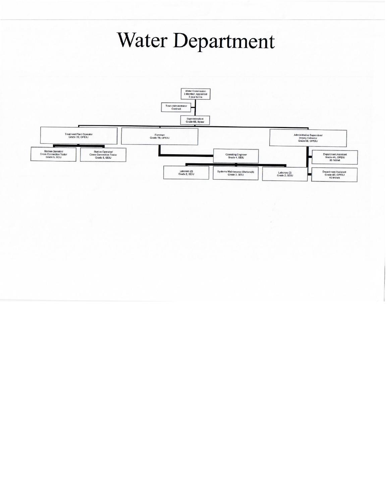# Water Department

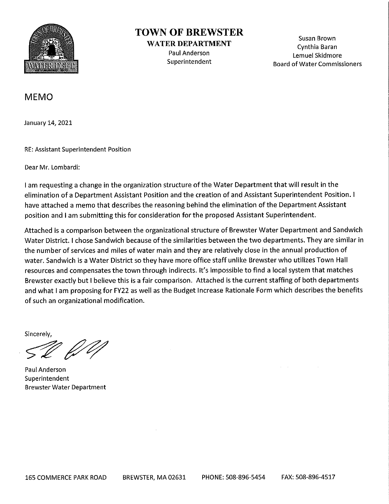

# **TOWN OF BREWSTER**

**WATER DEPARTMENT** Paul Anderson Superintendent

Susan Brown Cynthia Baran Lemuel Skidmore **Board of Water Commissioners** 

# **MEMO**

January 14, 2021

**RE: Assistant Superintendent Position** 

Dear Mr. Lombardi:

I am requesting a change in the organization structure of the Water Department that will result in the elimination of a Department Assistant Position and the creation of and Assistant Superintendent Position. I have attached a memo that describes the reasoning behind the elimination of the Department Assistant position and I am submitting this for consideration for the proposed Assistant Superintendent.

Attached is a comparison between the organizational structure of Brewster Water Department and Sandwich Water District. I chose Sandwich because of the similarities between the two departments. They are similar in the number of services and miles of water main and they are relatively close in the annual production of water. Sandwich is a Water District so they have more office staff unlike Brewster who utilizes Town Hall resources and compensates the town through indirects. It's impossible to find a local system that matches Brewster exactly but I believe this is a fair comparison. Attached is the current staffing of both departments and what I am proposing for FY22 as well as the Budget Increase Rationale Form which describes the benefits of such an organizational modification.

Sincerely.

Paul Anderson Superintendent **Brewster Water Department**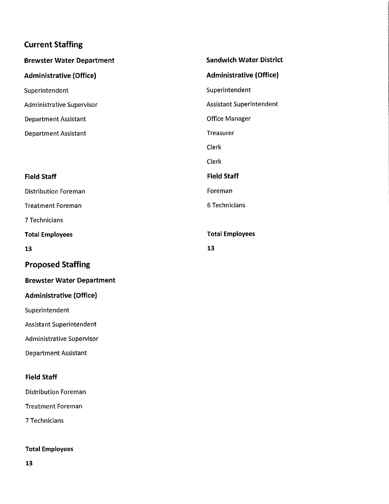# **Current Staffing**

| <b>Brewster Water Department</b> | <b>Sandwich Water District</b>  |  |  |  |
|----------------------------------|---------------------------------|--|--|--|
| <b>Administrative (Office)</b>   | <b>Administrative (Office)</b>  |  |  |  |
| Superintendent                   | Superintendent                  |  |  |  |
| <b>Administrative Supervisor</b> | <b>Assistant Superintendent</b> |  |  |  |
| Department Assistant             | Office Manager                  |  |  |  |
| <b>Department Assistant</b>      | Treasurer                       |  |  |  |
|                                  | Clerk                           |  |  |  |
|                                  | Clerk                           |  |  |  |
| <b>Field Staff</b>               | <b>Field Staff</b>              |  |  |  |
| <b>Distribution Foreman</b>      | Foreman                         |  |  |  |
| <b>Treatment Foreman</b>         | 6 Technicians                   |  |  |  |
| 7 Technicians                    |                                 |  |  |  |
| <b>Total Employees</b>           | <b>Total Employees</b>          |  |  |  |
| 13                               | 13                              |  |  |  |

# **Proposed Staffing**

#### **Brewster Water Department**

# **Administrative (Office)**

Superintendent

Assistant Superintendent

Administrative Supervisor

**Department Assistant** 

### **Field Staff**

**Distribution Foreman** 

**Treatment Foreman** 

7 Technicians

## **Total Employees**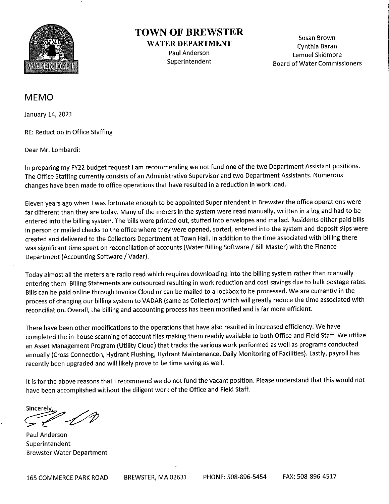

# **TOWN OF BREWSTER**

**WATER DEPARTMENT** Paul Anderson Superintendent

Susan Brown Cynthia Baran Lemuel Skidmore **Board of Water Commissioners** 

# **MEMO**

January 14, 2021

RE: Reduction in Office Staffing

Dear Mr. Lombardi:

In preparing my FY22 budget request I am recommending we not fund one of the two Department Assistant positions. The Office Staffing currently consists of an Administrative Supervisor and two Department Assistants. Numerous changes have been made to office operations that have resulted in a reduction in work load.

Eleven years ago when I was fortunate enough to be appointed Superintendent in Brewster the office operations were far different than they are today. Many of the meters in the system were read manually, written in a log and had to be entered into the billing system. The bills were printed out, stuffed into envelopes and mailed. Residents either paid bills in person or mailed checks to the office where they were opened, sorted, entered into the system and deposit slips were created and delivered to the Collectors Department at Town Hall. In addition to the time associated with billing there was significant time spent on reconciliation of accounts (Water Billing Software / Bill Master) with the Finance Department (Accounting Software / Vadar).

Today almost all the meters are radio read which requires downloading into the billing system rather than manually entering them. Billing Statements are outsourced resulting in work reduction and cost savings due to bulk postage rates. Bills can be paid online through Invoice Cloud or can be mailed to a lockbox to be processed. We are currently in the process of changing our billing system to VADAR (same as Collectors) which will greatly reduce the time associated with reconciliation. Overall, the billing and accounting process has been modified and is far more efficient.

There have been other modifications to the operations that have also resulted in increased efficiency. We have completed the in-house scanning of account files making them readily available to both Office and Field Staff. We utilize an Asset Management Program (Utility Cloud) that tracks the various work performed as well as programs conducted annually (Cross Connection, Hydrant Flushing, Hydrant Maintenance, Daily Monitoring of Facilities). Lastly, payroll has recently been upgraded and will likely prove to be time saving as well.

It is for the above reasons that I recommend we do not fund the vacant position. Please understand that this would not have been accomplished without the diligent work of the Office and Field Staff.

Sincerelv

**Paul Anderson** Superintendent **Brewster Water Department**